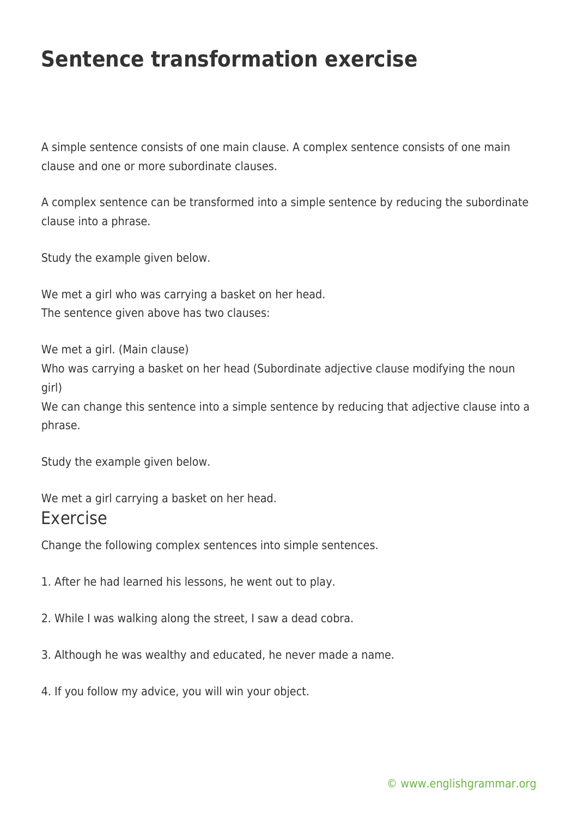## **Sentence transformation exercise**

A simple sentence consists of one main clause. A complex sentence consists of one main clause and one or more subordinate clauses.

A complex sentence can be transformed into a simple sentence by reducing the subordinate clause into a phrase.

Study the example given below.

We met a girl who was carrying a basket on her head. The sentence given above has two clauses:

We met a girl. (Main clause) Who was carrying a basket on her head (Subordinate adjective clause modifying the noun girl) We can change this sentence into a simple sentence by reducing that adjective clause into a

Study the example given below.

phrase.

We met a girl carrying a basket on her head. Exercise

Change the following complex sentences into simple sentences.

1. After he had learned his lessons, he went out to play.

2. While I was walking along the street, I saw a dead cobra.

- 3. Although he was wealthy and educated, he never made a name.
- 4. If you follow my advice, you will win your object.